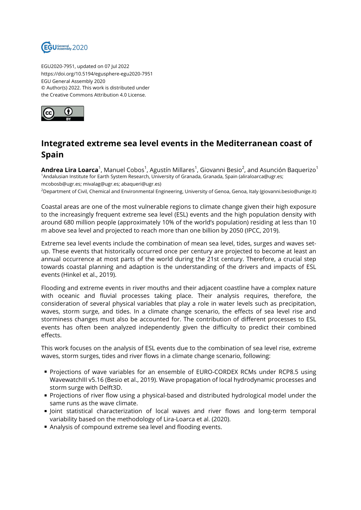

EGU2020-7951, updated on 07 Jul 2022 https://doi.org/10.5194/egusphere-egu2020-7951 EGU General Assembly 2020 © Author(s) 2022. This work is distributed under the Creative Commons Attribution 4.0 License.



## **Integrated extreme sea level events in the Mediterranean coast of Spain**

**Andrea Lira Loarca**<sup>1</sup>, Manuel Cobos<sup>1</sup>, Agustín Millares<sup>1</sup>, Giovanni Besio<sup>2</sup>, and Asunción Baquerizo<sup>1</sup> <sup>1</sup>Andalusian Institute for Earth System Research, University of Granada, Granada, Spain (aliraloarca@ugr.es; mcobosb@ugr.es; mivalag@ugr.es; abaqueri@ugr.es)

<sup>2</sup>Department of Civil, Chemical and Environmental Engineering, University of Genoa, Genoa, Italy (giovanni.besio@unige.it)

Coastal areas are one of the most vulnerable regions to climate change given their high exposure to the increasingly frequent extreme sea level (ESL) events and the high population density with around 680 million people (approximately 10% of the world's population) residing at less than 10 m above sea level and projected to reach more than one billion by 2050 (IPCC, 2019).

Extreme sea level events include the combination of mean sea level, tides, surges and waves setup. These events that historically occurred once per century are projected to become at least an annual occurrence at most parts of the world during the 21st century. Therefore, a crucial step towards coastal planning and adaption is the understanding of the drivers and impacts of ESL events (Hinkel et al., 2019).

Flooding and extreme events in river mouths and their adjacent coastline have a complex nature with oceanic and fluvial processes taking place. Their analysis requires, therefore, the consideration of several physical variables that play a role in water levels such as precipitation, waves, storm surge, and tides. In a climate change scenario, the effects of sea level rise and storminess changes must also be accounted for. The contribution of different processes to ESL events has often been analyzed independently given the difficulty to predict their combined effects.

This work focuses on the analysis of ESL events due to the combination of sea level rise, extreme waves, storm surges, tides and river flows in a climate change scenario, following:

- Projections of wave variables for an ensemble of EURO-CORDEX RCMs under RCP8.5 using WavewatchIII v5.16 (Besio et al., 2019). Wave propagation of local hydrodynamic processes and storm surge with Delft3D.
- **Projections of river flow using a physical-based and distributed hydrological model under the** same runs as the wave climate.
- I loint statistical characterization of local waves and river flows and long-term temporal variability based on the methodology of Lira-Loarca et al. (2020).
- Analysis of compound extreme sea level and flooding events.